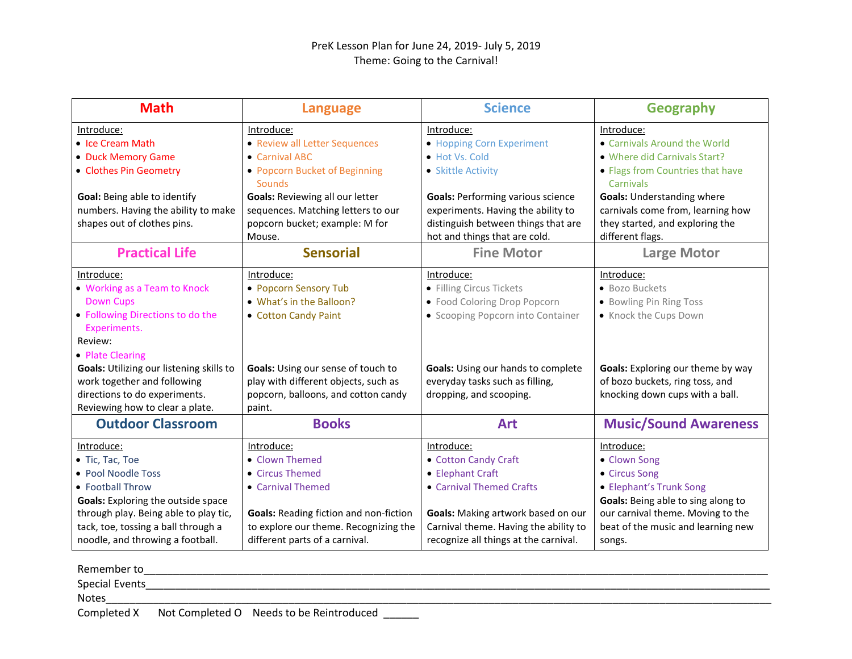| <b>Math</b>                               | <b>Language</b>                               | <b>Science</b>                            | <b>Geography</b>                   |
|-------------------------------------------|-----------------------------------------------|-------------------------------------------|------------------------------------|
| Introduce:                                | Introduce:                                    | Introduce:                                | Introduce:                         |
| • Ice Cream Math                          | • Review all Letter Sequences                 | • Hopping Corn Experiment                 | • Carnivals Around the World       |
| • Duck Memory Game                        | • Carnival ABC                                | • Hot Vs. Cold                            | • Where did Carnivals Start?       |
| • Clothes Pin Geometry                    | • Popcorn Bucket of Beginning                 | • Skittle Activity                        | • Flags from Countries that have   |
|                                           | <b>Sounds</b>                                 |                                           | Carnivals                          |
| Goal: Being able to identify              | <b>Goals: Reviewing all our letter</b>        | <b>Goals: Performing various science</b>  | <b>Goals: Understanding where</b>  |
| numbers. Having the ability to make       | sequences. Matching letters to our            | experiments. Having the ability to        | carnivals come from, learning how  |
| shapes out of clothes pins.               | popcorn bucket; example: M for                | distinguish between things that are       | they started, and exploring the    |
|                                           | Mouse.                                        | hot and things that are cold.             | different flags.                   |
| <b>Practical Life</b>                     | <b>Sensorial</b>                              | <b>Fine Motor</b>                         | <b>Large Motor</b>                 |
| Introduce:                                | Introduce:                                    | Introduce:                                | Introduce:                         |
| • Working as a Team to Knock              | • Popcorn Sensory Tub                         | • Filling Circus Tickets                  | • Bozo Buckets                     |
| <b>Down Cups</b>                          | • What's in the Balloon?                      | • Food Coloring Drop Popcorn              | • Bowling Pin Ring Toss            |
| • Following Directions to do the          | • Cotton Candy Paint                          | • Scooping Popcorn into Container         | • Knock the Cups Down              |
| Experiments.                              |                                               |                                           |                                    |
| Review:                                   |                                               |                                           |                                    |
| • Plate Clearing                          |                                               |                                           |                                    |
| Goals: Utilizing our listening skills to  | Goals: Using our sense of touch to            | <b>Goals:</b> Using our hands to complete | Goals: Exploring our theme by way  |
| work together and following               | play with different objects, such as          | everyday tasks such as filling,           | of bozo buckets, ring toss, and    |
| directions to do experiments.             | popcorn, balloons, and cotton candy           | dropping, and scooping.                   | knocking down cups with a ball.    |
| Reviewing how to clear a plate.           | paint.                                        |                                           |                                    |
| <b>Outdoor Classroom</b>                  | <b>Books</b>                                  | <b>Art</b>                                | <b>Music/Sound Awareness</b>       |
| <u>Introduce:</u>                         | Introduce:                                    | Introduce:                                | <u>Introduce:</u>                  |
| • Tic, Tac, Toe                           | • Clown Themed                                | • Cotton Candy Craft                      | • Clown Song                       |
| • Pool Noodle Toss                        | • Circus Themed                               | • Elephant Craft                          | • Circus Song                      |
| • Football Throw                          | • Carnival Themed                             | • Carnival Themed Crafts                  | • Elephant's Trunk Song            |
| <b>Goals:</b> Exploring the outside space |                                               |                                           | Goals: Being able to sing along to |
| through play. Being able to play tic,     | <b>Goals: Reading fiction and non-fiction</b> | Goals: Making artwork based on our        | our carnival theme. Moving to the  |
| tack, toe, tossing a ball through a       | to explore our theme. Recognizing the         | Carnival theme. Having the ability to     | beat of the music and learning new |
| noodle, and throwing a football.          | different parts of a carnival.                | recognize all things at the carnival.     | songs.                             |

| Remember to           |                                          |  |
|-----------------------|------------------------------------------|--|
| <b>Special Events</b> |                                          |  |
| <b>Notes</b>          |                                          |  |
| Completed X           | Not Completed O Needs to be Reintroduced |  |